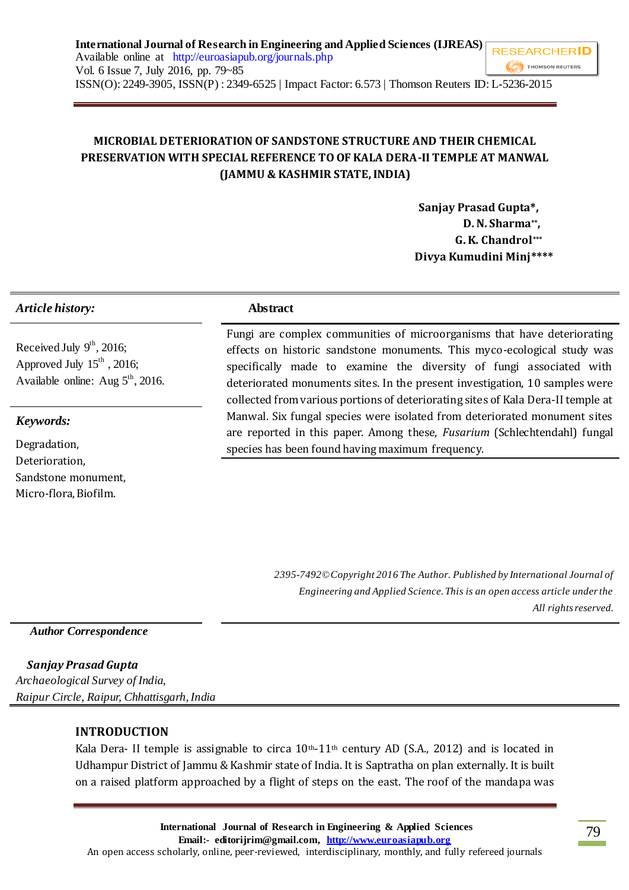# **MICROBIAL DETERIORATION OF SANDSTONE STRUCTURE AND THEIR CHEMICAL PRESERVATION WITH SPECIAL REFERENCE TO OF KALA DERA-II TEMPLE AT MANWAL (JAMMU & KASHMIR STATE, INDIA)**

 **Sanjay Prasad Gupta\*, D. N. Sharma\*\*, G. K. Chandrol\*\*\* Divya Kumudini Minj\*\*\*\***

## *Article history:* **Abstract**

Received July  $9<sup>th</sup>$ , 2016; Approved July  $15<sup>th</sup>$ , 2016; Available online: Aug  $5^{\text{th}}$ , 2016.

#### *Keywords:*

Degradation, Deterioration, Sandstone monument, Micro-flora, Biofilm.

Fungi are complex communities of microorganisms that have deteriorating effects on historic sandstone monuments. This myco-ecological study was specifically made to examine the diversity of fungi associated with deteriorated monuments sites. In the present investigation, 10 samples were collected from various portions of deteriorating sites of Kala Dera-II temple at Manwal. Six fungal species were isolated from deteriorated monument sites are reported in this paper. Among these, *Fusarium* (Schlechtendahl) fungal species has been found having maximum frequency.

> *2395-7492© Copyright 2016 The Author. Published by International Journal of Engineering and Applied Science. This is an open access article under the All rights reserved.*

 *Author Correspondence*

*Sanjay Prasad Gupta Archaeological Survey of India, Raipur Circle, Raipur, Chhattisgarh, India*

## **INTRODUCTION**

Kala Dera- II temple is assignable to circa  $10<sup>th</sup>$ -11<sup>th</sup> century AD (S.A., 2012) and is located in Udhampur District of Jammu & Kashmir state of India. It is Saptratha on plan externally. It is built on a raised platform approached by a flight of steps on the east. The roof of the mandapa was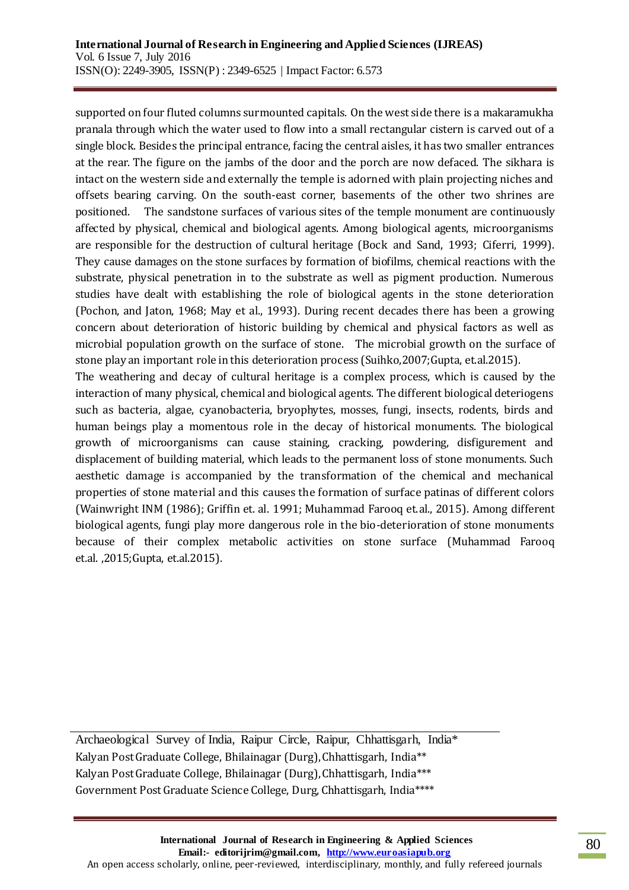supported on four fluted columns surmounted capitals. On the west side there is a makaramukha pranala through which the water used to flow into a small rectangular cistern is carved out of a single block. Besides the principal entrance, facing the central aisles, it has two smaller entrances at the rear. The figure on the jambs of the door and the porch are now defaced. The sikhara is intact on the western side and externally the temple is adorned with plain projecting niches and offsets bearing carving. On the south-east corner, basements of the other two shrines are positioned. The sandstone surfaces of various sites of the temple monument are continuously affected by physical, chemical and biological agents. Among biological agents, microorganisms are responsible for the destruction of cultural heritage (Bock and Sand, 1993; Ciferri, 1999). They cause damages on the stone surfaces by formation of biofilms, chemical reactions with the substrate, physical penetration in to the substrate as well as pigment production. Numerous studies have dealt with establishing the role of biological agents in the stone deterioration (Pochon, and Jaton, 1968; May et al., 1993). During recent decades there has been a growing concern about deterioration of historic building by chemical and physical factors as well as microbial population growth on the surface of stone. The microbial growth on the surface of stone play an important role in this deterioration process (Suihko,2007;Gupta, et.al.2015).

The weathering and decay of cultural heritage is a complex process, which is caused by the interaction of many physical, chemical and biological agents. The different biological deteriogens such as bacteria, algae, cyanobacteria, bryophytes, mosses, fungi, insects, rodents, birds and human beings play a momentous role in the decay of historical monuments. The biological growth of microorganisms can cause staining, cracking, powdering, disfigurement and displacement of building material, which leads to the permanent loss of stone monuments. Such aesthetic damage is accompanied by the transformation of the chemical and mechanical properties of stone material and this causes the formation of surface patinas of different colors (Wainwright INM (1986); Griffin et. al. 1991; Muhammad Farooq et.al., 2015). Among different biological agents, fungi play more dangerous role in the bio-deterioration of stone monuments because of their complex metabolic activities on stone surface (Muhammad Farooq et.al. ,2015;Gupta, et.al.2015).

Archaeological Survey of India, Raipur Circle, Raipur, Chhattisgarh, India\* Kalyan Post Graduate College, Bhilainagar (Durg), Chhattisgarh, India\*\* Kalyan Post Graduate College, Bhilainagar (Durg), Chhattisgarh, India\*\*\* Government Post Graduate Science College, Durg, Chhattisgarh, India\*\*\*\*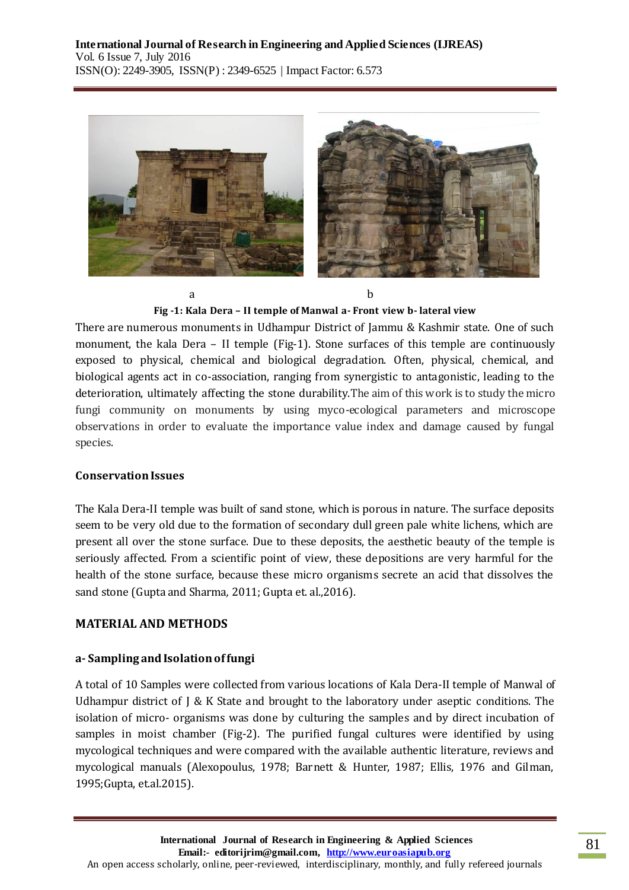

**Fig -1: Kala Dera – II temple of Manwal a- Front view b- lateral view**

There are numerous monuments in Udhampur District of Jammu & Kashmir state. One of such monument, the kala Dera – II temple (Fig-1). Stone surfaces of this temple are continuously exposed to physical, chemical and biological degradation. Often, physical, chemical, and biological agents act in co-association, ranging from synergistic to antagonistic, leading to the deterioration, ultimately affecting the stone durability.The aim of this work is to study the micro fungi community on monuments by using myco-ecological parameters and microscope observations in order to evaluate the importance value index and damage caused by fungal species.

## **Conservation Issues**

The Kala Dera-II temple was built of sand stone, which is porous in nature. The surface deposits seem to be very old due to the formation of secondary dull green pale white lichens, which are present all over the stone surface. Due to these deposits, the aesthetic beauty of the temple is seriously affected. From a scientific point of view, these depositions are very harmful for the health of the stone surface, because these micro organisms secrete an acid that dissolves the sand stone (Gupta and Sharma*,* 2011; Gupta et. al.,2016).

## **MATERIAL AND METHODS**

## **a- Sampling and Isolation of fungi**

A total of 10 Samples were collected from various locations of Kala Dera-II temple of Manwal of Udhampur district of J & K State and brought to the laboratory under aseptic conditions. The isolation of micro- organisms was done by culturing the samples and by direct incubation of samples in moist chamber (Fig-2). The purified fungal cultures were identified by using mycological techniques and were compared with the available authentic literature, reviews and mycological manuals (Alexopoulus, 1978; Barnett & Hunter, 1987; Ellis, 1976 and Gilman, 1995;Gupta, et.al.2015).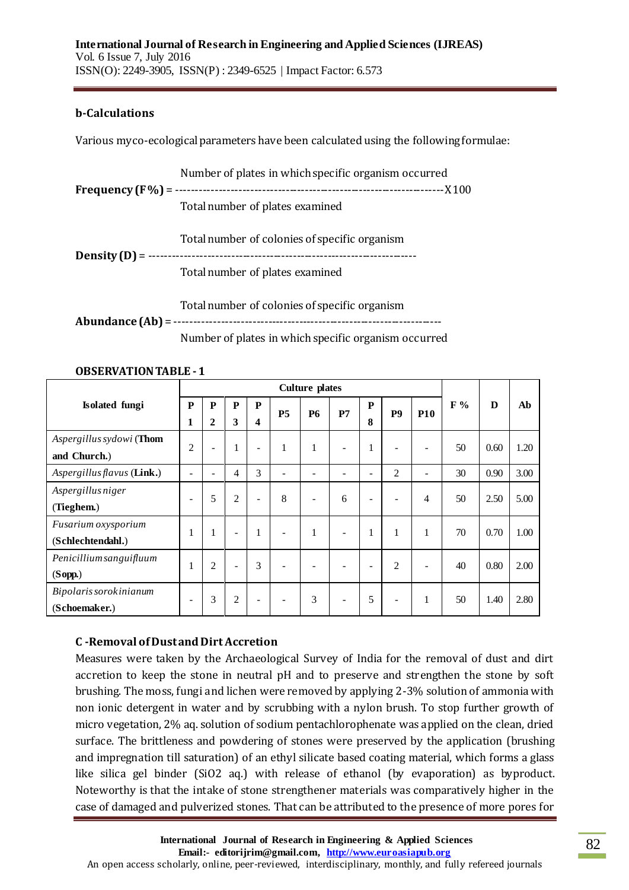#### **b-Calculations**

Various myco-ecological parameters have been calculated using the following formulae:

 Number of plates in which specific organism occurred **Frequency (F %)** = ---------------------------------------------------------------------X 100 Total number of plates examined Total number of colonies of specific organism **Density (D)**= --------------------------------------------------------------------- Total number of plates examined Total number of colonies of specific organism **Abundance (Ab)** = ---------------------------------------------------------------------

Number of plates in which specific organism occurred

|                                          | <b>Culture plates</b>    |                              |                          |                          |                          |                          |    |              |                |            |       |      |      |
|------------------------------------------|--------------------------|------------------------------|--------------------------|--------------------------|--------------------------|--------------------------|----|--------------|----------------|------------|-------|------|------|
| Isolated fungi                           | P<br>1                   | $\mathbf{P}$<br>$\mathbf{2}$ | P<br>3                   | $\mathbf{P}$<br>4        | <b>P5</b>                | <b>P6</b>                | P7 | P<br>8       | P <sub>9</sub> | <b>P10</b> | $F\%$ | D    | Ab   |
| Aspergillus sydowi (Thom<br>and Church.) | $\overline{2}$           | $\overline{a}$               | $\mathbf{1}$             | $\overline{\phantom{a}}$ | $\mathbf{1}$             | $\mathbf{1}$             | ۰  | 1            |                | -          | 50    | 0.60 | 1.20 |
| Aspergillus flavus (Link.)               |                          |                              | 4                        | 3                        |                          | ۰                        |    | ۰            | $\overline{2}$ | ۳          | 30    | 0.90 | 3.00 |
| <i>Aspergillus niger</i><br>(Tieghem.)   | $\overline{\phantom{a}}$ | 5                            | $\overline{c}$           | $\overline{\phantom{a}}$ | 8                        | $\overline{\phantom{a}}$ | 6  | -            |                | 4          | 50    | 2.50 | 5.00 |
| Fusarium oxysporium<br>(Schlechtendahl.) | л.                       | -1                           | $\overline{\phantom{a}}$ | 1                        | $\overline{\phantom{0}}$ | $\mathbf{1}$             | -  | $\mathbf{1}$ |                | 1          | 70    | 0.70 | 1.00 |
| Penicillium sanguifluum<br>(Sopp.)       | л.                       | $\mathfrak{2}$               | $\overline{\phantom{a}}$ | 3                        | $\overline{\phantom{0}}$ | $\overline{\phantom{a}}$ | -  | ۰            | $\overline{c}$ | -          | 40    | 0.80 | 2.00 |
| Bipolaris sorokinianum<br>(Schoemaker.)  |                          | 3                            | $\overline{c}$           | -                        |                          | 3                        | -  | 5            |                | 1          | 50    | 1.40 | 2.80 |

#### **OBSERVATION TABLE -1**

## **C -Removal of Dust and Dirt Accretion**

Measures were taken by the Archaeological Survey of India for the removal of dust and dirt accretion to keep the stone in neutral pH and to preserve and strengthen the stone by soft brushing. The moss, fungi and lichen were removed by applying 2-3% solution of ammonia with non ionic detergent in water and by scrubbing with a nylon brush. To stop further growth of micro vegetation, 2% aq. solution of sodium pentachlorophenate was applied on the clean, dried surface. The brittleness and powdering of stones were preserved by the application (brushing and impregnation till saturation) of an ethyl silicate based coating material, which forms a glass like silica gel binder (SiO2 aq.) with release of ethanol (by evaporation) as byproduct. Noteworthy is that the intake of stone strengthener materials was comparatively higher in the case of damaged and pulverized stones. That can be attributed to the presence of more pores for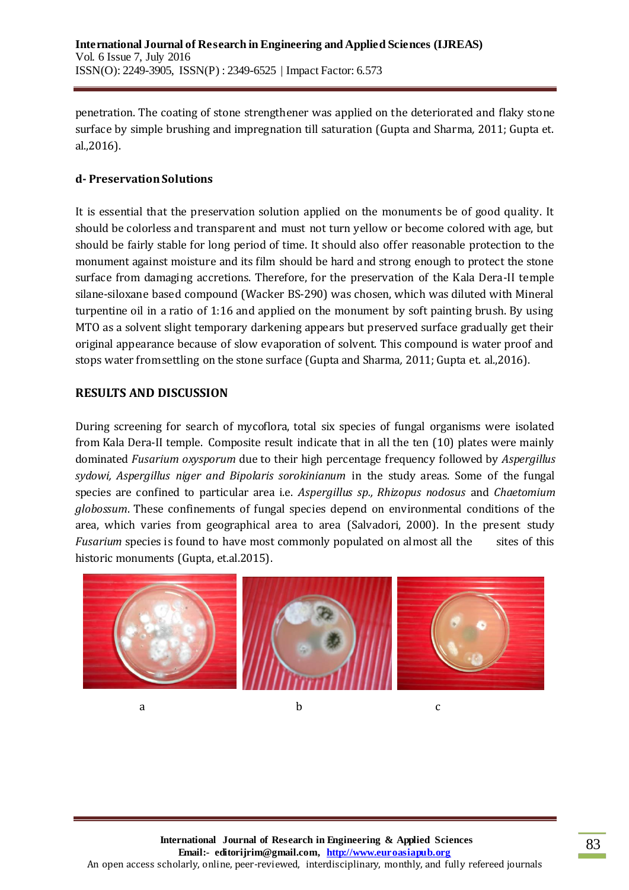penetration. The coating of stone strengthener was applied on the deteriorated and flaky stone surface by simple brushing and impregnation till saturation (Gupta and Sharma*,* 2011; Gupta et. al.,2016).

### **d- Preservation Solutions**

It is essential that the preservation solution applied on the monuments be of good quality. It should be colorless and transparent and must not turn yellow or become colored with age, but should be fairly stable for long period of time. It should also offer reasonable protection to the monument against moisture and its film should be hard and strong enough to protect the stone surface from damaging accretions. Therefore, for the preservation of the Kala Dera-II temple silane-siloxane based compound (Wacker BS-290) was chosen, which was diluted with Mineral turpentine oil in a ratio of 1:16 and applied on the monument by soft painting brush. By using MTO as a solvent slight temporary darkening appears but preserved surface gradually get their original appearance because of slow evaporation of solvent. This compound is water proof and stops water from settling on the stone surface (Gupta and Sharma*,* 2011; Gupta et. al.,2016).

### **RESULTS AND DISCUSSION**

During screening for search of mycoflora, total six species of fungal organisms were isolated from Kala Dera-II temple. Composite result indicate that in all the ten (10) plates were mainly dominated *Fusarium oxysporum* due to their high percentage frequency followed by *Aspergillus sydowi, Aspergillus niger and Bipolaris sorokinianum* in the study areas. Some of the fungal species are confined to particular area i.e. *Aspergillus sp., Rhizopus nodosus* and *Chaetomium globossum*. These confinements of fungal species depend on environmental conditions of the area, which varies from geographical area to area (Salvadori, 2000). In the present study *Fusarium* species is found to have most commonly populated on almost all the sites of this historic monuments (Gupta, et.al.2015).



a b c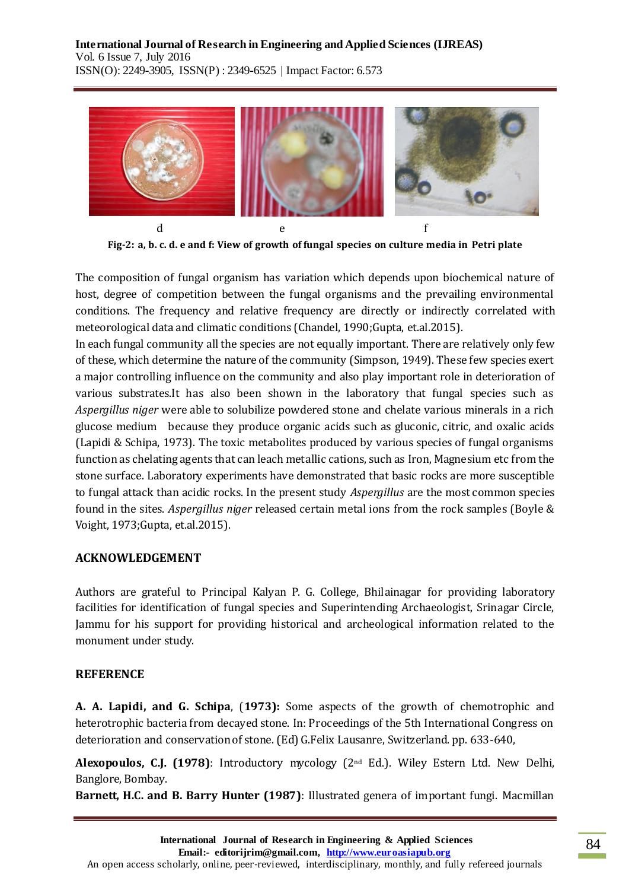

**Fig-2: a, b. c. d. e and f: View of growth of fungal species on culture media in Petri plate**

The composition of fungal organism has variation which depends upon biochemical nature of host, degree of competition between the fungal organisms and the prevailing environmental conditions. The frequency and relative frequency are directly or indirectly correlated with meteorological data and climatic conditions (Chandel, 1990;Gupta, et.al.2015).

In each fungal community all the species are not equally important. There are relatively only few of these, which determine the nature of the community (Simpson, 1949). These few species exert a major controlling influence on the community and also play important role in deterioration of various substrates.It has also been shown in the laboratory that fungal species such as *Aspergillus niger* were able to solubilize powdered stone and chelate various minerals in a rich glucose medium because they produce organic acids such as gluconic, citric, and oxalic acids (Lapidi & Schipa, 1973). The toxic metabolites produced by various species of fungal organisms function as chelating agents that can leach metallic cations, such as Iron, Magnesium etc from the stone surface. Laboratory experiments have demonstrated that basic rocks are more susceptible to fungal attack than acidic rocks. In the present study *Aspergillus* are the most common species found in the sites. *Aspergillus niger* released certain metal ions from the rock samples (Boyle & Voight, 1973;Gupta, et.al.2015).

#### **ACKNOWLEDGEMENT**

Authors are grateful to Principal Kalyan P. G. College, Bhilainagar for providing laboratory facilities for identification of fungal species and Superintending Archaeologist, Srinagar Circle, Jammu for his support for providing historical and archeological information related to the monument under study.

#### **REFERENCE**

**A. A. Lapidi, and G. Schipa**, (**1973):** Some aspects of the growth of chemotrophic and heterotrophic bacteria from decayed stone. In: Proceedings of the 5th International Congress on deterioration and conservation of stone. (Ed) G.Felix Lausanre, Switzerland. pp. 633-640,

**Alexopoulos, C.J. (1978)**: Introductory mycology (2nd Ed.). Wiley Estern Ltd. New Delhi, Banglore, Bombay.

**Barnett, H.C. and B. Barry Hunter (1987)**: Illustrated genera of important fungi. Macmillan